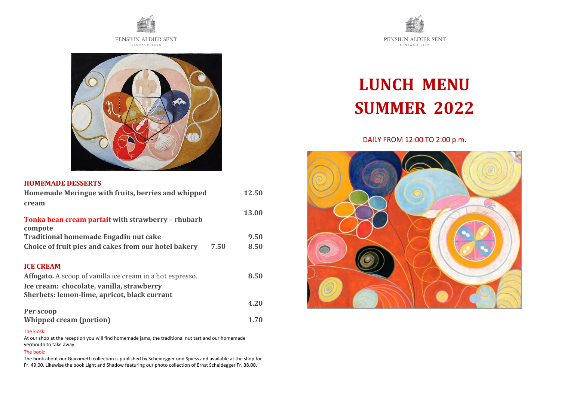



### **HOMEMADE DESSERTS**

| Homemade Meringue with fruits, berries and whipped                                        |      | 12.50 |  |
|-------------------------------------------------------------------------------------------|------|-------|--|
| cream<br>Tonka bean cream parfait with strawberry - rhubarb                               |      | 13.00 |  |
| compote<br>Traditional homemade Engadin nut cake                                          |      | 9.50  |  |
| Choice of fruit pies and cakes from our hotel bakery                                      | 7.50 | 8.50  |  |
| <b>ICE CREAM</b>                                                                          |      |       |  |
| <b>Affogato.</b> A scoop of vanilla ice cream in a hot espresso.                          |      | 8.50  |  |
| Ice cream: chocolate, vanilla, strawberry<br>Sherbets: lemon-lime, apricot, black currant |      |       |  |
|                                                                                           |      | 4.20  |  |
| Per scoop<br>Whipped cream (portion)                                                      |      | 1.70  |  |
| The kiosk:                                                                                |      |       |  |

At our shop at the reception you will find homemade jams, the traditional nut tart and our homemade vermouth to take away.

### The book:

The book about our Giacometti collection is published by Scheidegger und Spiess and available at the shop for Fr. 49.00. Likewise the book Light and Shadow featuring our photo collection of Ernst Scheidegger Fr. 38.00.



# **LUNCH MENU SUMMER 2022**

## DAILY FROM 12:00 TO 2:00 p.m.